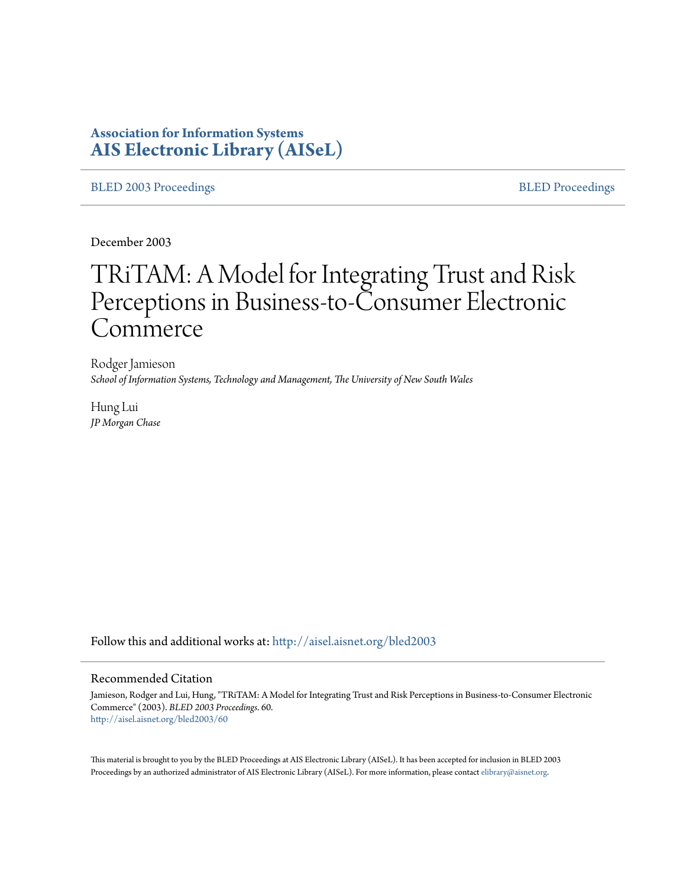# **Association for Information Systems [AIS Electronic Library \(AISeL\)](http://aisel.aisnet.org?utm_source=aisel.aisnet.org%2Fbled2003%2F60&utm_medium=PDF&utm_campaign=PDFCoverPages)**

[BLED 2003 Proceedings](http://aisel.aisnet.org/bled2003?utm_source=aisel.aisnet.org%2Fbled2003%2F60&utm_medium=PDF&utm_campaign=PDFCoverPages) and the state of the state of the [BLED Proceedings](http://aisel.aisnet.org/bled?utm_source=aisel.aisnet.org%2Fbled2003%2F60&utm_medium=PDF&utm_campaign=PDFCoverPages) and the BLED Proceedings and the BLED Proceedings and the BLED Proceedings and the BLED Proceedings and the BLED Proceedings and the BLED Proceedings

December 2003

# TRiTAM: A Model for Integrating Trust and Risk Perceptions in Business-to-Consumer Electronic Commerce

Rodger Jamieson *School of Information Systems, Technology and Management, The University of New South Wales*

Hung Lui *JP Morgan Chase*

Follow this and additional works at: [http://aisel.aisnet.org/bled2003](http://aisel.aisnet.org/bled2003?utm_source=aisel.aisnet.org%2Fbled2003%2F60&utm_medium=PDF&utm_campaign=PDFCoverPages)

#### Recommended Citation

Jamieson, Rodger and Lui, Hung, "TRiTAM: A Model for Integrating Trust and Risk Perceptions in Business-to-Consumer Electronic Commerce" (2003). *BLED 2003 Proceedings*. 60. [http://aisel.aisnet.org/bled2003/60](http://aisel.aisnet.org/bled2003/60?utm_source=aisel.aisnet.org%2Fbled2003%2F60&utm_medium=PDF&utm_campaign=PDFCoverPages)

This material is brought to you by the BLED Proceedings at AIS Electronic Library (AISeL). It has been accepted for inclusion in BLED 2003 Proceedings by an authorized administrator of AIS Electronic Library (AISeL). For more information, please contact [elibrary@aisnet.org](mailto:elibrary@aisnet.org%3E).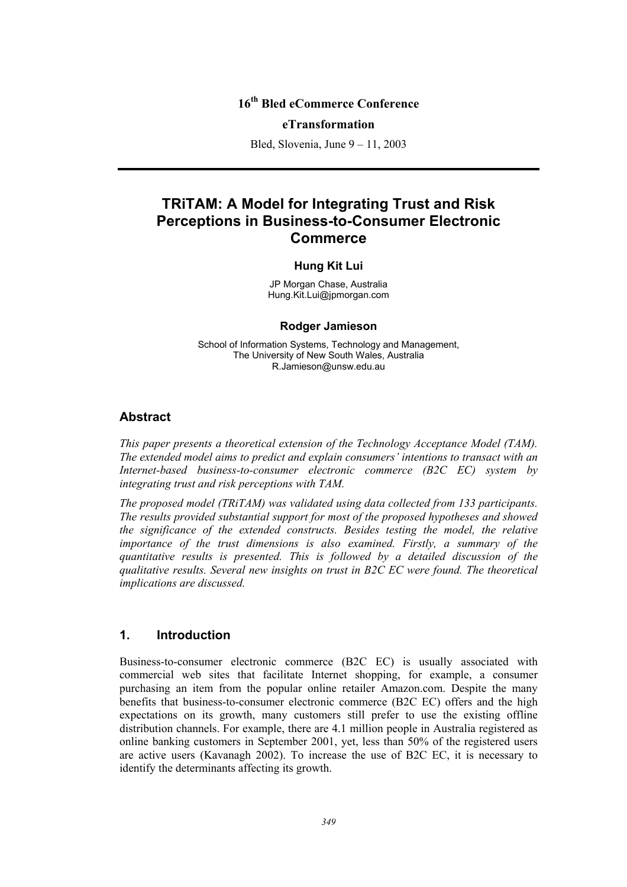### **16th Bled eCommerce Conference**

#### **eTransformation**

Bled, Slovenia, June 9 – 11, 2003

# **TRiTAM: A Model for Integrating Trust and Risk Perceptions in Business-to-Consumer Electronic Commerce**

#### **Hung Kit Lui**

JP Morgan Chase, Australia Hung.Kit.Lui@jpmorgan.com

#### **Rodger Jamieson**

School of Information Systems, Technology and Management, The University of New South Wales, Australia R.Jamieson@unsw.edu.au

#### **Abstract**

*This paper presents a theoretical extension of the Technology Acceptance Model (TAM). The extended model aims to predict and explain consumers' intentions to transact with an Internet-based business-to-consumer electronic commerce (B2C EC) system by integrating trust and risk perceptions with TAM.* 

*The proposed model (TRiTAM) was validated using data collected from 133 participants. The results provided substantial support for most of the proposed hypotheses and showed the significance of the extended constructs. Besides testing the model, the relative importance of the trust dimensions is also examined. Firstly, a summary of the quantitative results is presented. This is followed by a detailed discussion of the qualitative results. Several new insights on trust in B2C EC were found. The theoretical implications are discussed.* 

### **1. Introduction**

Business-to-consumer electronic commerce (B2C EC) is usually associated with commercial web sites that facilitate Internet shopping, for example, a consumer purchasing an item from the popular online retailer Amazon.com. Despite the many benefits that business-to-consumer electronic commerce (B2C EC) offers and the high expectations on its growth, many customers still prefer to use the existing offline distribution channels. For example, there are 4.1 million people in Australia registered as online banking customers in September 2001, yet, less than 50% of the registered users are active users (Kavanagh 2002). To increase the use of B2C EC, it is necessary to identify the determinants affecting its growth.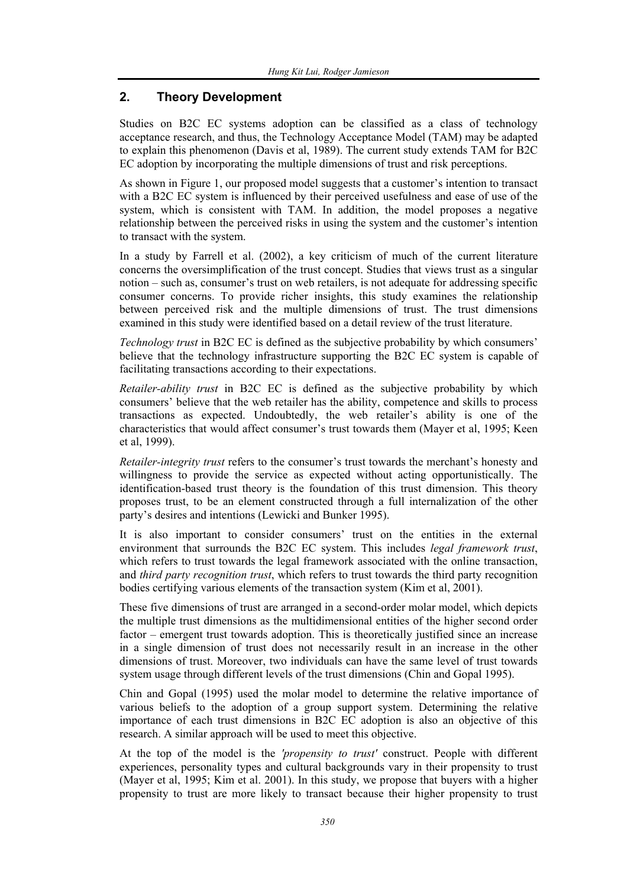# **2. Theory Development**

Studies on B2C EC systems adoption can be classified as a class of technology acceptance research, and thus, the Technology Acceptance Model (TAM) may be adapted to explain this phenomenon (Davis et al, 1989). The current study extends TAM for B2C EC adoption by incorporating the multiple dimensions of trust and risk perceptions.

As shown in Figure 1, our proposed model suggests that a customer's intention to transact with a B2C EC system is influenced by their perceived usefulness and ease of use of the system, which is consistent with TAM. In addition, the model proposes a negative relationship between the perceived risks in using the system and the customer's intention to transact with the system.

In a study by Farrell et al. (2002), a key criticism of much of the current literature concerns the oversimplification of the trust concept. Studies that views trust as a singular notion – such as, consumer's trust on web retailers, is not adequate for addressing specific consumer concerns. To provide richer insights, this study examines the relationship between perceived risk and the multiple dimensions of trust. The trust dimensions examined in this study were identified based on a detail review of the trust literature.

*Technology trust* in B2C EC is defined as the subjective probability by which consumers' believe that the technology infrastructure supporting the B2C EC system is capable of facilitating transactions according to their expectations.

*Retailer-ability trust* in B2C EC is defined as the subjective probability by which consumers' believe that the web retailer has the ability, competence and skills to process transactions as expected. Undoubtedly, the web retailer's ability is one of the characteristics that would affect consumer's trust towards them (Mayer et al, 1995; Keen et al, 1999).

*Retailer-integrity trust* refers to the consumer's trust towards the merchant's honesty and willingness to provide the service as expected without acting opportunistically. The identification-based trust theory is the foundation of this trust dimension. This theory proposes trust, to be an element constructed through a full internalization of the other party's desires and intentions (Lewicki and Bunker 1995).

It is also important to consider consumers' trust on the entities in the external environment that surrounds the B2C EC system. This includes *legal framework trust*, which refers to trust towards the legal framework associated with the online transaction, and *third party recognition trust*, which refers to trust towards the third party recognition bodies certifying various elements of the transaction system (Kim et al, 2001).

These five dimensions of trust are arranged in a second-order molar model, which depicts the multiple trust dimensions as the multidimensional entities of the higher second order factor – emergent trust towards adoption. This is theoretically justified since an increase in a single dimension of trust does not necessarily result in an increase in the other dimensions of trust. Moreover, two individuals can have the same level of trust towards system usage through different levels of the trust dimensions (Chin and Gopal 1995).

Chin and Gopal (1995) used the molar model to determine the relative importance of various beliefs to the adoption of a group support system. Determining the relative importance of each trust dimensions in B2C EC adoption is also an objective of this research. A similar approach will be used to meet this objective.

At the top of the model is the *'propensity to trust'* construct. People with different experiences, personality types and cultural backgrounds vary in their propensity to trust (Mayer et al, 1995; Kim et al. 2001). In this study, we propose that buyers with a higher propensity to trust are more likely to transact because their higher propensity to trust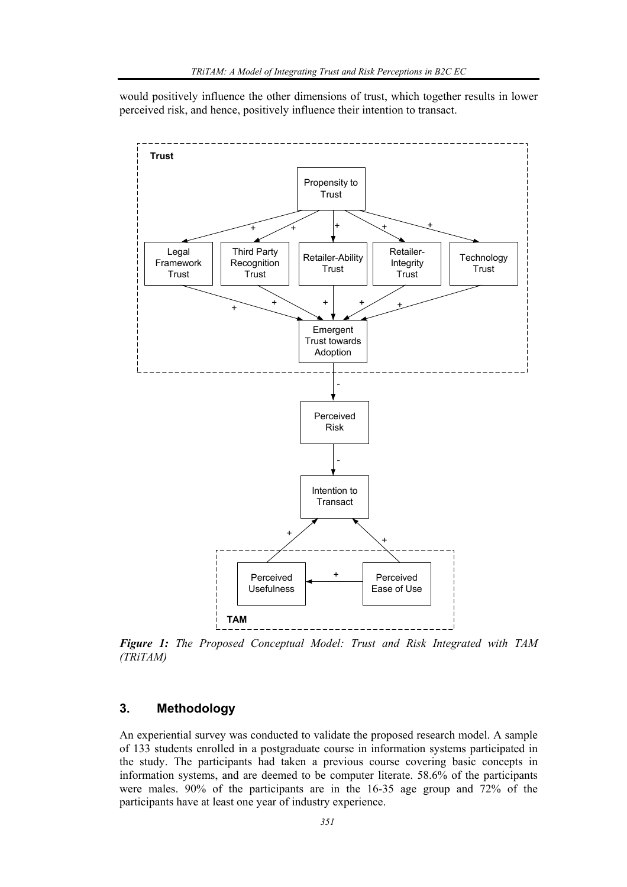would positively influence the other dimensions of trust, which together results in lower perceived risk, and hence, positively influence their intention to transact.



*Figure 1: The Proposed Conceptual Model: Trust and Risk Integrated with TAM (TRiTAM)* 

# **3. Methodology**

An experiential survey was conducted to validate the proposed research model. A sample of 133 students enrolled in a postgraduate course in information systems participated in the study. The participants had taken a previous course covering basic concepts in information systems, and are deemed to be computer literate. 58.6% of the participants were males. 90% of the participants are in the 16-35 age group and 72% of the participants have at least one year of industry experience.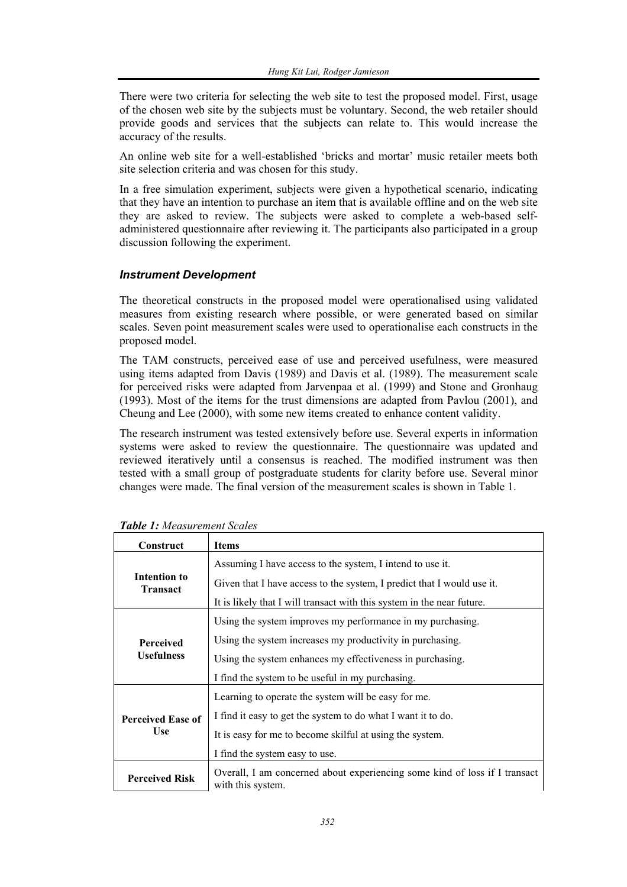There were two criteria for selecting the web site to test the proposed model. First, usage of the chosen web site by the subjects must be voluntary. Second, the web retailer should provide goods and services that the subjects can relate to. This would increase the accuracy of the results.

An online web site for a well-established 'bricks and mortar' music retailer meets both site selection criteria and was chosen for this study.

In a free simulation experiment, subjects were given a hypothetical scenario, indicating that they have an intention to purchase an item that is available offline and on the web site they are asked to review. The subjects were asked to complete a web-based selfadministered questionnaire after reviewing it. The participants also participated in a group discussion following the experiment.

### *Instrument Development*

The theoretical constructs in the proposed model were operationalised using validated measures from existing research where possible, or were generated based on similar scales. Seven point measurement scales were used to operationalise each constructs in the proposed model.

The TAM constructs, perceived ease of use and perceived usefulness, were measured using items adapted from Davis (1989) and Davis et al. (1989). The measurement scale for perceived risks were adapted from Jarvenpaa et al. (1999) and Stone and Gronhaug (1993). Most of the items for the trust dimensions are adapted from Pavlou (2001), and Cheung and Lee (2000), with some new items created to enhance content validity.

The research instrument was tested extensively before use. Several experts in information systems were asked to review the questionnaire. The questionnaire was updated and reviewed iteratively until a consensus is reached. The modified instrument was then tested with a small group of postgraduate students for clarity before use. Several minor changes were made. The final version of the measurement scales is shown in Table 1.

| Construct                             | <b>Items</b>                                                                                    |
|---------------------------------------|-------------------------------------------------------------------------------------------------|
|                                       | Assuming I have access to the system, I intend to use it.                                       |
| Intention to<br><b>Transact</b>       | Given that I have access to the system, I predict that I would use it.                          |
|                                       | It is likely that I will transact with this system in the near future.                          |
|                                       | Using the system improves my performance in my purchasing.                                      |
| <b>Perceived</b><br><b>Usefulness</b> | Using the system increases my productivity in purchasing.                                       |
|                                       | Using the system enhances my effectiveness in purchasing.                                       |
|                                       | I find the system to be useful in my purchasing.                                                |
|                                       | Learning to operate the system will be easy for me.                                             |
| <b>Perceived Ease of</b>              | I find it easy to get the system to do what I want it to do.                                    |
| Use                                   | It is easy for me to become skilful at using the system.                                        |
|                                       | I find the system easy to use.                                                                  |
| <b>Perceived Risk</b>                 | Overall, I am concerned about experiencing some kind of loss if I transact<br>with this system. |

*Table 1: Measurement Scales*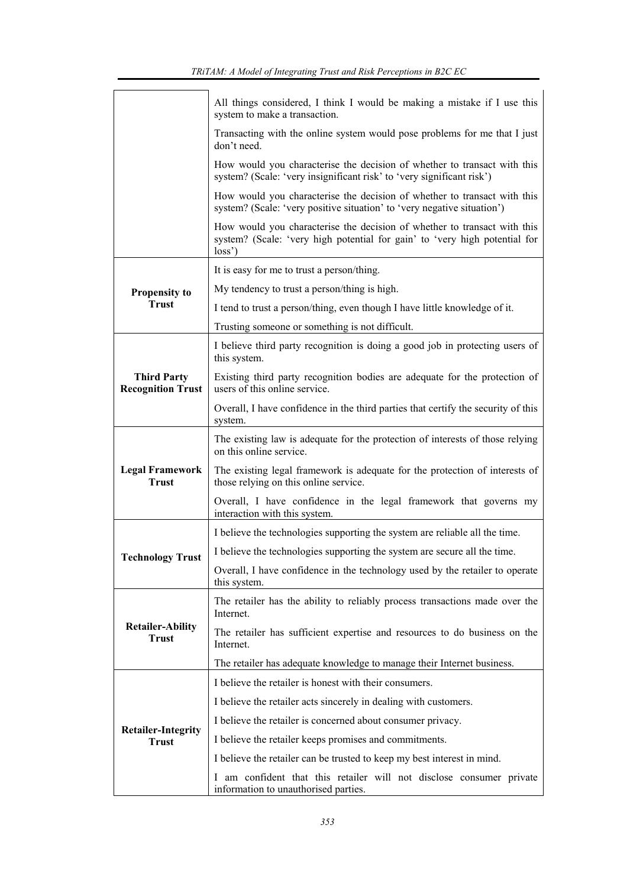|                                                | All things considered, I think I would be making a mistake if I use this<br>system to make a transaction.                                                       |
|------------------------------------------------|-----------------------------------------------------------------------------------------------------------------------------------------------------------------|
|                                                | Transacting with the online system would pose problems for me that I just<br>don't need.                                                                        |
|                                                | How would you characterise the decision of whether to transact with this<br>system? (Scale: 'very insignificant risk' to 'very significant risk')               |
|                                                | How would you characterise the decision of whether to transact with this<br>system? (Scale: 'very positive situation' to 'very negative situation')             |
|                                                | How would you characterise the decision of whether to transact with this<br>system? (Scale: 'very high potential for gain' to 'very high potential for<br>loss' |
|                                                | It is easy for me to trust a person/thing.                                                                                                                      |
| <b>Propensity to</b>                           | My tendency to trust a person/thing is high.                                                                                                                    |
| <b>Trust</b>                                   | I tend to trust a person/thing, even though I have little knowledge of it.                                                                                      |
|                                                | Trusting someone or something is not difficult.                                                                                                                 |
|                                                | I believe third party recognition is doing a good job in protecting users of<br>this system.                                                                    |
| <b>Third Party</b><br><b>Recognition Trust</b> | Existing third party recognition bodies are adequate for the protection of<br>users of this online service.                                                     |
|                                                | Overall, I have confidence in the third parties that certify the security of this<br>system.                                                                    |
|                                                | The existing law is adequate for the protection of interests of those relying<br>on this online service.                                                        |
| <b>Legal Framework</b><br><b>Trust</b>         | The existing legal framework is adequate for the protection of interests of<br>those relying on this online service.                                            |
|                                                | Overall, I have confidence in the legal framework that governs my<br>interaction with this system.                                                              |
|                                                | I believe the technologies supporting the system are reliable all the time.                                                                                     |
| <b>Technology Trust</b>                        | I believe the technologies supporting the system are secure all the time.                                                                                       |
|                                                | Overall, I have confidence in the technology used by the retailer to operate<br>this system.                                                                    |
|                                                | The retailer has the ability to reliably process transactions made over the<br>Internet.                                                                        |
| <b>Retailer-Ability</b><br><b>Trust</b>        | The retailer has sufficient expertise and resources to do business on the<br>Internet.                                                                          |
|                                                | The retailer has adequate knowledge to manage their Internet business.                                                                                          |
|                                                | I believe the retailer is honest with their consumers.                                                                                                          |
|                                                | I believe the retailer acts sincerely in dealing with customers.                                                                                                |
|                                                | I believe the retailer is concerned about consumer privacy.                                                                                                     |
| <b>Retailer-Integrity</b><br><b>Trust</b>      | I believe the retailer keeps promises and commitments.                                                                                                          |
|                                                | I believe the retailer can be trusted to keep my best interest in mind.                                                                                         |
|                                                | I am confident that this retailer will not disclose consumer private<br>information to unauthorised parties.                                                    |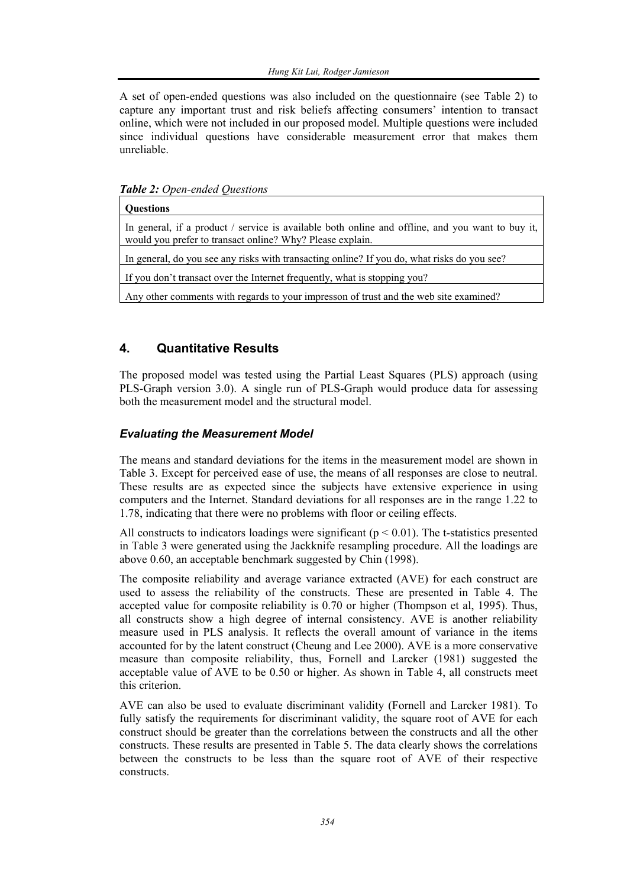A set of open-ended questions was also included on the questionnaire (see Table 2) to capture any important trust and risk beliefs affecting consumers' intention to transact online, which were not included in our proposed model. Multiple questions were included since individual questions have considerable measurement error that makes them unreliable.

*Table 2: Open-ended Questions* 

| <b>Ouestions</b>                                                                                                                                              |
|---------------------------------------------------------------------------------------------------------------------------------------------------------------|
| In general, if a product / service is available both online and offline, and you want to buy it,<br>would you prefer to transact online? Why? Please explain. |
| In general, do you see any risks with transacting online? If you do, what risks do you see?                                                                   |
| If you don't transact over the Internet frequently, what is stopping you?                                                                                     |
| Any other comments with regards to your impresson of trust and the web site examined?                                                                         |

### **4. Quantitative Results**

The proposed model was tested using the Partial Least Squares (PLS) approach (using PLS-Graph version 3.0). A single run of PLS-Graph would produce data for assessing both the measurement model and the structural model.

### *Evaluating the Measurement Model*

The means and standard deviations for the items in the measurement model are shown in Table 3. Except for perceived ease of use, the means of all responses are close to neutral. These results are as expected since the subjects have extensive experience in using computers and the Internet. Standard deviations for all responses are in the range 1.22 to 1.78, indicating that there were no problems with floor or ceiling effects.

All constructs to indicators loadings were significant ( $p < 0.01$ ). The t-statistics presented in Table 3 were generated using the Jackknife resampling procedure. All the loadings are above 0.60, an acceptable benchmark suggested by Chin (1998).

The composite reliability and average variance extracted (AVE) for each construct are used to assess the reliability of the constructs. These are presented in Table 4. The accepted value for composite reliability is 0.70 or higher (Thompson et al, 1995). Thus, all constructs show a high degree of internal consistency. AVE is another reliability measure used in PLS analysis. It reflects the overall amount of variance in the items accounted for by the latent construct (Cheung and Lee 2000). AVE is a more conservative measure than composite reliability, thus, Fornell and Larcker (1981) suggested the acceptable value of AVE to be 0.50 or higher. As shown in Table 4, all constructs meet this criterion.

AVE can also be used to evaluate discriminant validity (Fornell and Larcker 1981). To fully satisfy the requirements for discriminant validity, the square root of AVE for each construct should be greater than the correlations between the constructs and all the other constructs. These results are presented in Table 5. The data clearly shows the correlations between the constructs to be less than the square root of AVE of their respective constructs.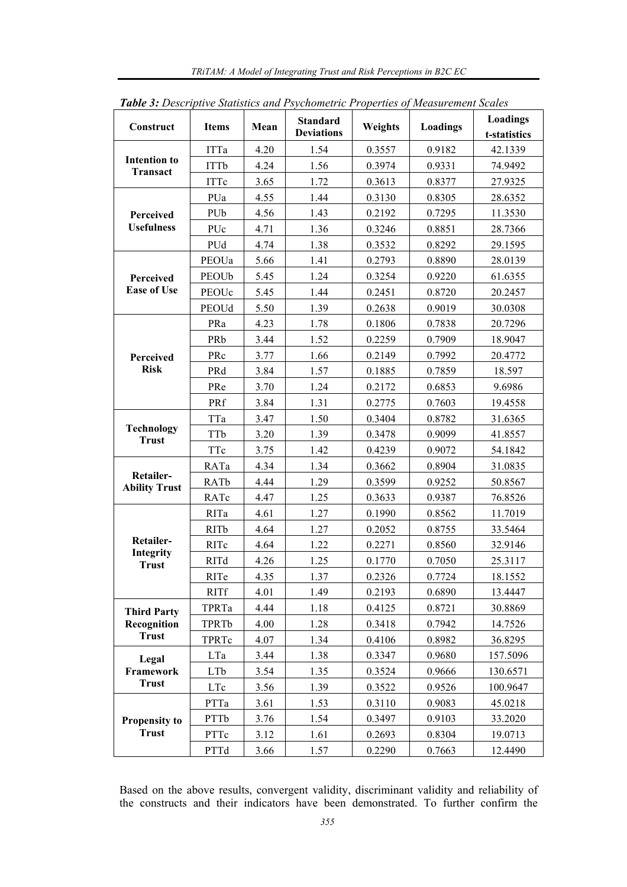|                                        | Table 3: Descriptive Statistics and Psychometric Properties of Measurement Scales |      |                                      |         |                 |                                 |  |  |
|----------------------------------------|-----------------------------------------------------------------------------------|------|--------------------------------------|---------|-----------------|---------------------------------|--|--|
| Construct                              | <b>Items</b>                                                                      | Mean | <b>Standard</b><br><b>Deviations</b> | Weights | <b>Loadings</b> | <b>Loadings</b><br>t-statistics |  |  |
|                                        | <b>ITTa</b>                                                                       | 4.20 | 1.54                                 | 0.3557  | 0.9182          | 42.1339                         |  |  |
| <b>Intention to</b><br><b>Transact</b> | <b>ITTb</b>                                                                       | 4.24 | 1.56                                 | 0.3974  | 0.9331          | 74.9492                         |  |  |
|                                        | <b>ITTc</b>                                                                       | 3.65 | 1.72                                 | 0.3613  | 0.8377          | 27.9325                         |  |  |
|                                        | PUa                                                                               | 4.55 | 1.44                                 | 0.3130  | 0.8305          | 28.6352                         |  |  |
| Perceived                              | PUb                                                                               | 4.56 | 1.43                                 | 0.2192  | 0.7295          | 11.3530                         |  |  |
| <b>Usefulness</b>                      | PUc                                                                               | 4.71 | 1.36                                 | 0.3246  | 0.8851          | 28.7366                         |  |  |
|                                        | PUd                                                                               | 4.74 | 1.38                                 | 0.3532  | 0.8292          | 29.1595                         |  |  |
|                                        | PEOUa                                                                             | 5.66 | 1.41                                 | 0.2793  | 0.8890          | 28.0139                         |  |  |
| Perceived                              | PEOUb                                                                             | 5.45 | 1.24                                 | 0.3254  | 0.9220          | 61.6355                         |  |  |
| <b>Ease of Use</b>                     | PEOUc                                                                             | 5.45 | 1.44                                 | 0.2451  | 0.8720          | 20.2457                         |  |  |
|                                        | PEOUd                                                                             | 5.50 | 1.39                                 | 0.2638  | 0.9019          | 30.0308                         |  |  |
|                                        | PRa                                                                               | 4.23 | 1.78                                 | 0.1806  | 0.7838          | 20.7296                         |  |  |
|                                        | PRb                                                                               | 3.44 | 1.52                                 | 0.2259  | 0.7909          | 18.9047                         |  |  |
| Perceived                              | PRc                                                                               | 3.77 | 1.66                                 | 0.2149  | 0.7992          | 20.4772                         |  |  |
| <b>Risk</b>                            | PRd                                                                               | 3.84 | 1.57                                 | 0.1885  | 0.7859          | 18.597                          |  |  |
|                                        | PRe                                                                               | 3.70 | 1.24                                 | 0.2172  | 0.6853          | 9.6986                          |  |  |
|                                        | PRf                                                                               | 3.84 | 1.31                                 | 0.2775  | 0.7603          | 19.4558                         |  |  |
|                                        | TTa                                                                               | 3.47 | 1.50                                 | 0.3404  | 0.8782          | 31.6365                         |  |  |
| <b>Technology</b>                      | TTb                                                                               | 3.20 | 1.39                                 | 0.3478  | 0.9099          | 41.8557                         |  |  |
| <b>Trust</b>                           | TTc                                                                               | 3.75 | 1.42                                 | 0.4239  | 0.9072          | 54.1842                         |  |  |
|                                        | RATa                                                                              | 4.34 | 1.34                                 | 0.3662  | 0.8904          | 31.0835                         |  |  |
| Retailer-<br><b>Ability Trust</b>      | <b>RATb</b>                                                                       | 4.44 | 1.29                                 | 0.3599  | 0.9252          | 50.8567                         |  |  |
|                                        | RATc                                                                              | 4.47 | 1.25                                 | 0.3633  | 0.9387          | 76.8526                         |  |  |
|                                        | RITa                                                                              | 4.61 | 1.27                                 | 0.1990  | 0.8562          | 11.7019                         |  |  |
|                                        | <b>RITb</b>                                                                       | 4.64 | 1.27                                 | 0.2052  | 0.8755          | 33.5464                         |  |  |
| Retailer-                              | RITc                                                                              | 4.64 | 1.22                                 | 0.2271  | 0.8560          | 32.9146                         |  |  |
| Integrity<br><b>Trust</b>              | <b>RITd</b>                                                                       | 4.26 | 1.25                                 | 0.1770  | 0.7050          | 25.3117                         |  |  |
|                                        | RITe                                                                              | 4.35 | 1.37                                 | 0.2326  | 0.7724          | 18.1552                         |  |  |
|                                        | <b>RITf</b>                                                                       | 4.01 | 1.49                                 | 0.2193  | 0.6890          | 13.4447                         |  |  |
| <b>Third Party</b>                     | TPRTa                                                                             | 4.44 | 1.18                                 | 0.4125  | 0.8721          | 30.8869                         |  |  |
| Recognition                            | TPRTb                                                                             | 4.00 | 1.28                                 | 0.3418  | 0.7942          | 14.7526                         |  |  |
| <b>Trust</b>                           | TPRTc                                                                             | 4.07 | 1.34                                 | 0.4106  | 0.8982          | 36.8295                         |  |  |
| Legal                                  | LTa                                                                               | 3.44 | 1.38                                 | 0.3347  | 0.9680          | 157.5096                        |  |  |
| Framework                              | LTb                                                                               | 3.54 | 1.35                                 | 0.3524  | 0.9666          | 130.6571                        |  |  |
| <b>Trust</b>                           | LTc                                                                               | 3.56 | 1.39                                 | 0.3522  | 0.9526          | 100.9647                        |  |  |
|                                        | PTTa                                                                              | 3.61 | 1.53                                 | 0.3110  | 0.9083          | 45.0218                         |  |  |
| <b>Propensity to</b>                   | PTTb                                                                              | 3.76 | 1.54                                 | 0.3497  | 0.9103          | 33.2020                         |  |  |
| <b>Trust</b>                           | PTTc                                                                              | 3.12 | 1.61                                 | 0.2693  | 0.8304          | 19.0713                         |  |  |
|                                        | PTTd                                                                              | 3.66 | 1.57                                 | 0.2290  | 0.7663          | 12.4490                         |  |  |

*TRiTAM: A Model of Integrating Trust and Risk Perceptions in B2C EC* 

Based on the above results, convergent validity, discriminant validity and reliability of the constructs and their indicators have been demonstrated. To further confirm the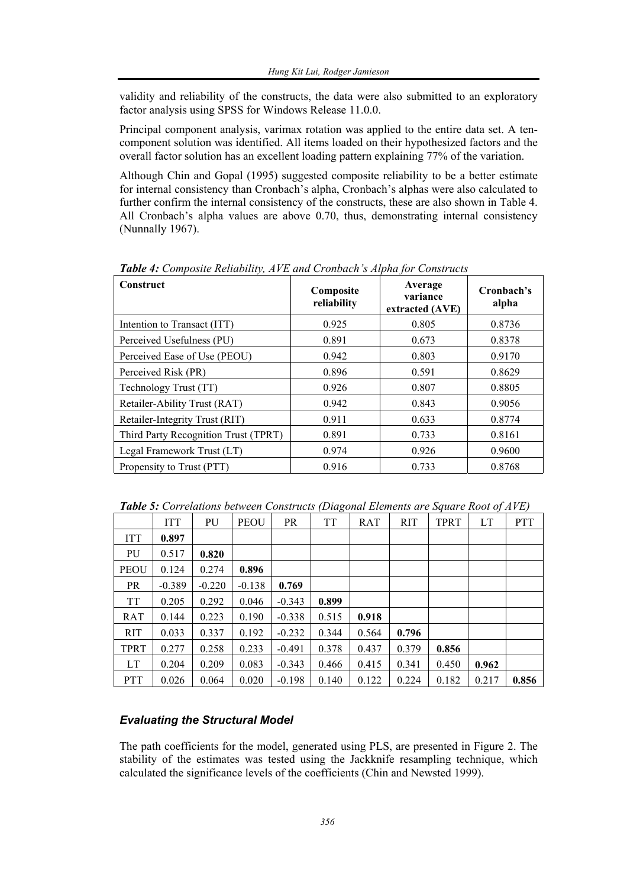validity and reliability of the constructs, the data were also submitted to an exploratory factor analysis using SPSS for Windows Release 11.0.0.

Principal component analysis, varimax rotation was applied to the entire data set. A tencomponent solution was identified. All items loaded on their hypothesized factors and the overall factor solution has an excellent loading pattern explaining 77% of the variation.

Although Chin and Gopal (1995) suggested composite reliability to be a better estimate for internal consistency than Cronbach's alpha, Cronbach's alphas were also calculated to further confirm the internal consistency of the constructs, these are also shown in Table 4. All Cronbach's alpha values are above 0.70, thus, demonstrating internal consistency (Nunnally 1967).

| Construct                            | Composite<br>reliability | Average<br>variance<br>extracted (AVE) | Cronbach's<br>alpha |
|--------------------------------------|--------------------------|----------------------------------------|---------------------|
| Intention to Transact (ITT)          | 0.925                    | 0.805                                  | 0.8736              |
| Perceived Usefulness (PU)            | 0.891                    | 0.673                                  | 0.8378              |
| Perceived Ease of Use (PEOU)         | 0.942                    | 0.803                                  | 0.9170              |
| Perceived Risk (PR)                  | 0.896                    | 0.591                                  | 0.8629              |
| Technology Trust (TT)                | 0.926                    | 0.807                                  | 0.8805              |
| Retailer-Ability Trust (RAT)         | 0.942                    | 0.843                                  | 0.9056              |
| Retailer-Integrity Trust (RIT)       | 0.911                    | 0.633                                  | 0.8774              |
| Third Party Recognition Trust (TPRT) | 0.891                    | 0.733                                  | 0.8161              |
| Legal Framework Trust (LT)           | 0.974                    | 0.926                                  | 0.9600              |
| Propensity to Trust (PTT)            | 0.916                    | 0.733                                  | 0.8768              |

*Table 4: Composite Reliability, AVE and Cronbach's Alpha for Constructs* 

*Table 5: Correlations between Constructs (Diagonal Elements are Square Root of AVE)* 

|             | <b>ITT</b> | PU       | <b>PEOU</b> | <b>PR</b> | <b>TT</b> | RAT   | <b>RIT</b> | <b>TPRT</b> | LT    | <b>PTT</b> |
|-------------|------------|----------|-------------|-----------|-----------|-------|------------|-------------|-------|------------|
| <b>ITT</b>  | 0.897      |          |             |           |           |       |            |             |       |            |
| PU          | 0.517      | 0.820    |             |           |           |       |            |             |       |            |
| <b>PEOU</b> | 0.124      | 0.274    | 0.896       |           |           |       |            |             |       |            |
| <b>PR</b>   | $-0.389$   | $-0.220$ | $-0.138$    | 0.769     |           |       |            |             |       |            |
| <b>TT</b>   | 0.205      | 0.292    | 0.046       | $-0.343$  | 0.899     |       |            |             |       |            |
| RAT         | 0.144      | 0.223    | 0.190       | $-0.338$  | 0.515     | 0.918 |            |             |       |            |
| <b>RIT</b>  | 0.033      | 0.337    | 0.192       | $-0.232$  | 0.344     | 0.564 | 0.796      |             |       |            |
| TPRT        | 0.277      | 0.258    | 0.233       | $-0.491$  | 0.378     | 0.437 | 0.379      | 0.856       |       |            |
| LT          | 0.204      | 0.209    | 0.083       | $-0.343$  | 0.466     | 0.415 | 0.341      | 0.450       | 0.962 |            |
| <b>PTT</b>  | 0.026      | 0.064    | 0.020       | $-0.198$  | 0.140     | 0.122 | 0.224      | 0.182       | 0.217 | 0.856      |

### *Evaluating the Structural Model*

The path coefficients for the model, generated using PLS, are presented in Figure 2. The stability of the estimates was tested using the Jackknife resampling technique, which calculated the significance levels of the coefficients (Chin and Newsted 1999).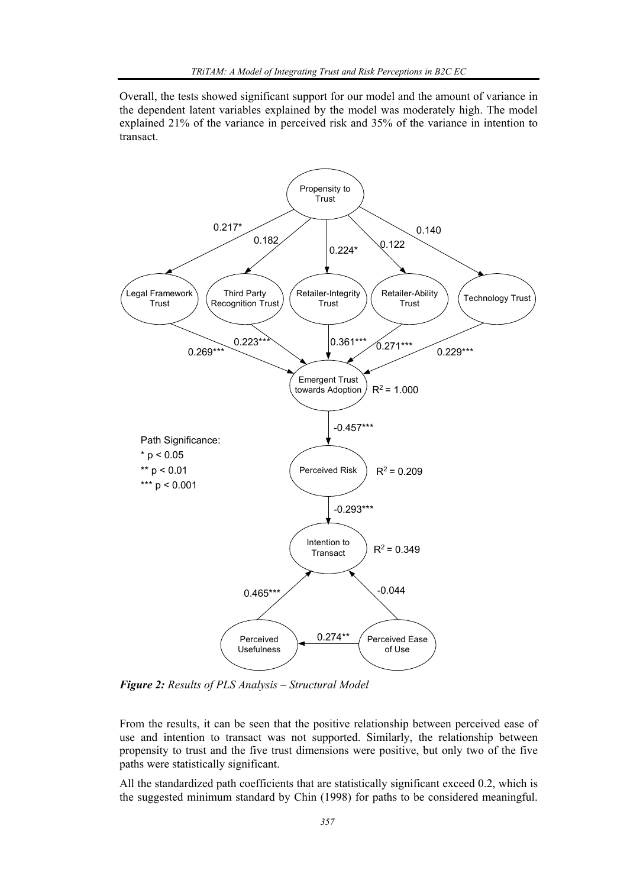Overall, the tests showed significant support for our model and the amount of variance in the dependent latent variables explained by the model was moderately high. The model explained 21% of the variance in perceived risk and 35% of the variance in intention to transact.



*Figure 2: Results of PLS Analysis – Structural Model* 

From the results, it can be seen that the positive relationship between perceived ease of use and intention to transact was not supported. Similarly, the relationship between propensity to trust and the five trust dimensions were positive, but only two of the five paths were statistically significant.

All the standardized path coefficients that are statistically significant exceed 0.2, which is the suggested minimum standard by Chin (1998) for paths to be considered meaningful.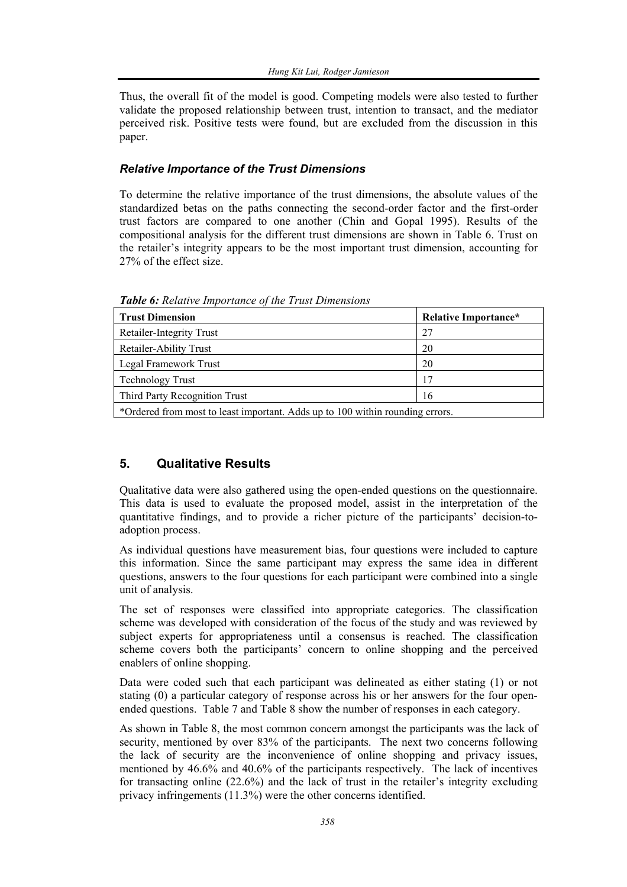Thus, the overall fit of the model is good. Competing models were also tested to further validate the proposed relationship between trust, intention to transact, and the mediator perceived risk. Positive tests were found, but are excluded from the discussion in this paper.

### *Relative Importance of the Trust Dimensions*

To determine the relative importance of the trust dimensions, the absolute values of the standardized betas on the paths connecting the second-order factor and the first-order trust factors are compared to one another (Chin and Gopal 1995). Results of the compositional analysis for the different trust dimensions are shown in Table 6. Trust on the retailer's integrity appears to be the most important trust dimension, accounting for 27% of the effect size.

| <b>Trust Dimension</b>                                                        | <b>Relative Importance*</b> |  |  |  |  |
|-------------------------------------------------------------------------------|-----------------------------|--|--|--|--|
| Retailer-Integrity Trust                                                      | 27                          |  |  |  |  |
| Retailer-Ability Trust                                                        | 20                          |  |  |  |  |
| Legal Framework Trust                                                         | 20                          |  |  |  |  |
| <b>Technology Trust</b>                                                       | 17                          |  |  |  |  |
| Third Party Recognition Trust                                                 | 16                          |  |  |  |  |
| *Ordered from most to least important. Adds up to 100 within rounding errors. |                             |  |  |  |  |

*Table 6: Relative Importance of the Trust Dimensions* 

### **5. Qualitative Results**

Qualitative data were also gathered using the open-ended questions on the questionnaire. This data is used to evaluate the proposed model, assist in the interpretation of the quantitative findings, and to provide a richer picture of the participants' decision-toadoption process.

As individual questions have measurement bias, four questions were included to capture this information. Since the same participant may express the same idea in different questions, answers to the four questions for each participant were combined into a single unit of analysis.

The set of responses were classified into appropriate categories. The classification scheme was developed with consideration of the focus of the study and was reviewed by subject experts for appropriateness until a consensus is reached. The classification scheme covers both the participants' concern to online shopping and the perceived enablers of online shopping.

Data were coded such that each participant was delineated as either stating (1) or not stating (0) a particular category of response across his or her answers for the four openended questions. Table 7 and Table 8 show the number of responses in each category.

As shown in Table 8, the most common concern amongst the participants was the lack of security, mentioned by over 83% of the participants. The next two concerns following the lack of security are the inconvenience of online shopping and privacy issues, mentioned by 46.6% and 40.6% of the participants respectively. The lack of incentives for transacting online (22.6%) and the lack of trust in the retailer's integrity excluding privacy infringements (11.3%) were the other concerns identified.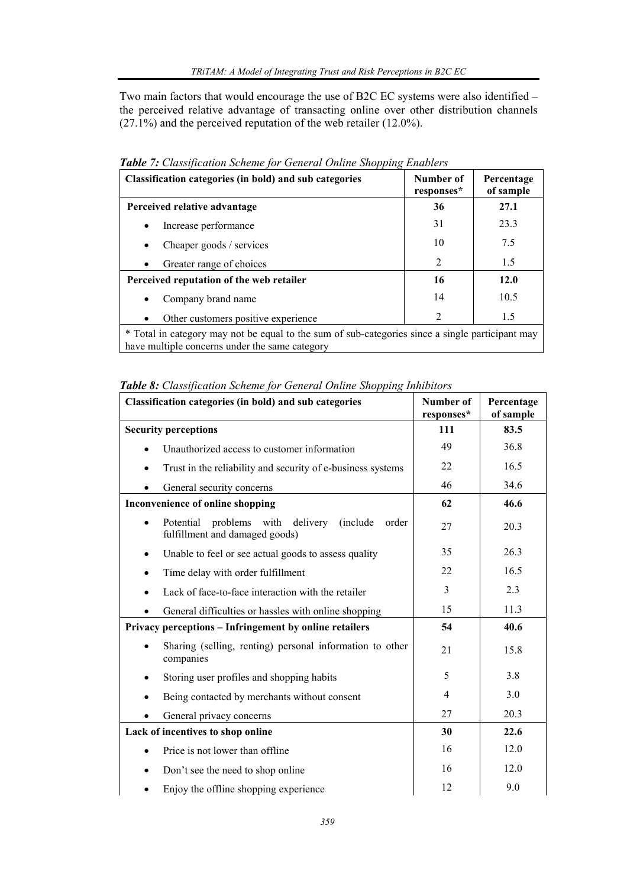Two main factors that would encourage the use of B2C EC systems were also identified – the perceived relative advantage of transacting online over other distribution channels  $(27.1\%)$  and the perceived reputation of the web retailer  $(12.0\%)$ .

| Classification categories (in bold) and sub categories                                                                                             | Number of<br>responses* | Percentage<br>of sample |  |  |  |
|----------------------------------------------------------------------------------------------------------------------------------------------------|-------------------------|-------------------------|--|--|--|
| Perceived relative advantage                                                                                                                       | 36                      | 27.1                    |  |  |  |
| Increase performance                                                                                                                               | 31                      | 23.3                    |  |  |  |
| Cheaper goods / services<br>$\bullet$                                                                                                              | 10                      | 7.5                     |  |  |  |
| Greater range of choices                                                                                                                           | 2                       | 1.5                     |  |  |  |
| Perceived reputation of the web retailer                                                                                                           | 16                      | 12.0                    |  |  |  |
| Company brand name<br>$\bullet$                                                                                                                    | 14                      | 10.5                    |  |  |  |
| Other customers positive experience                                                                                                                | $\overline{2}$          | 1.5                     |  |  |  |
| * Total in category may not be equal to the sum of sub-categories since a single participant may<br>have multiple concerns under the same category |                         |                         |  |  |  |

*Table 7: Classification Scheme for General Online Shopping Enablers* 

|  | Table 8: Classification Scheme for General Online Shopping Inhibitors |  |  |  |  |  |
|--|-----------------------------------------------------------------------|--|--|--|--|--|
|--|-----------------------------------------------------------------------|--|--|--|--|--|

| <b>Classification categories (in bold) and sub categories</b>                                 | Number of<br>responses* | Percentage<br>of sample |
|-----------------------------------------------------------------------------------------------|-------------------------|-------------------------|
| <b>Security perceptions</b>                                                                   | 111                     | 83.5                    |
| Unauthorized access to customer information                                                   | 49                      | 36.8                    |
| Trust in the reliability and security of e-business systems                                   | 22                      | 16.5                    |
| General security concerns                                                                     | 46                      | 34.6                    |
| Inconvenience of online shopping                                                              | 62                      | 46.6                    |
| Potential<br>problems with<br>delivery<br>(include<br>order<br>fulfillment and damaged goods) | 27                      | 20.3                    |
| Unable to feel or see actual goods to assess quality<br>٠                                     | 35                      | 26.3                    |
| Time delay with order fulfillment<br>$\bullet$                                                | 22                      | 16.5                    |
| Lack of face-to-face interaction with the retailer                                            | 3                       | 2.3                     |
| General difficulties or hassles with online shopping                                          | 15                      | 11.3                    |
| Privacy perceptions – Infringement by online retailers                                        | 54                      | 40.6                    |
| Sharing (selling, renting) personal information to other<br>companies                         | 21                      | 15.8                    |
| Storing user profiles and shopping habits                                                     | 5                       | 3.8                     |
| Being contacted by merchants without consent                                                  | 4                       | 3.0                     |
| General privacy concerns                                                                      | 27                      | 20.3                    |
| Lack of incentives to shop online                                                             | 30                      | 22.6                    |
| Price is not lower than offline                                                               | 16                      | 12.0                    |
| Don't see the need to shop online                                                             | 16                      | 12.0                    |
| Enjoy the offline shopping experience                                                         | 12                      | 9.0                     |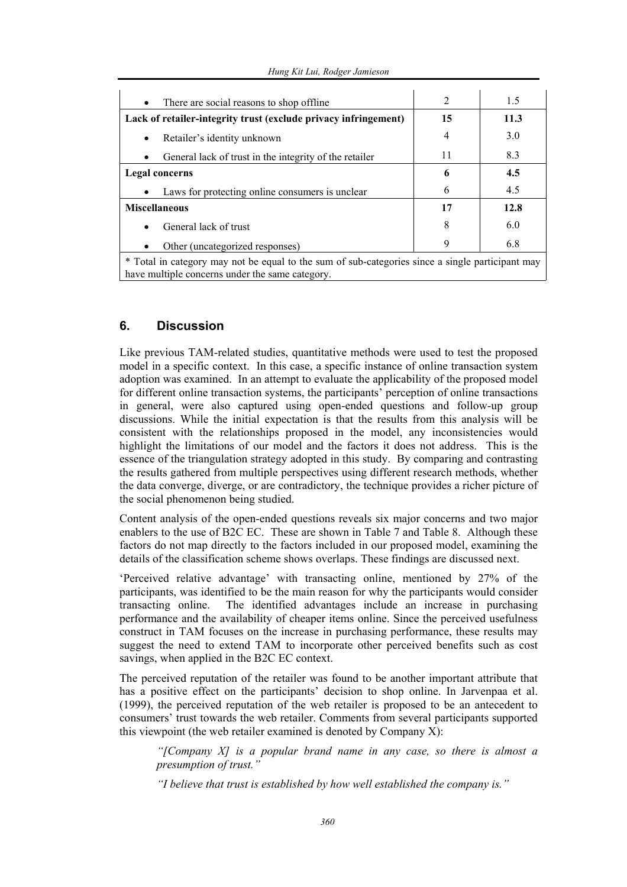| There are social reasons to shop offline<br>$\bullet$                                                                                               | $\overline{2}$ | 1.5  |  |  |  |
|-----------------------------------------------------------------------------------------------------------------------------------------------------|----------------|------|--|--|--|
| Lack of retailer-integrity trust (exclude privacy infringement)                                                                                     | 15             | 11.3 |  |  |  |
| Retailer's identity unknown                                                                                                                         | 4              | 3.0  |  |  |  |
| General lack of trust in the integrity of the retailer<br>$\bullet$                                                                                 | 11             | 8.3  |  |  |  |
| Legal concerns                                                                                                                                      | 6              | 4.5  |  |  |  |
| Laws for protecting online consumers is unclear                                                                                                     | 6              | 4.5  |  |  |  |
| <b>Miscellaneous</b>                                                                                                                                | 17             | 12.8 |  |  |  |
| General lack of trust                                                                                                                               | 8              | 6.0  |  |  |  |
| Other (uncategorized responses)<br>$\bullet$                                                                                                        | 9              | 6.8  |  |  |  |
| * Total in category may not be equal to the sum of sub-categories since a single participant may<br>have multiple concerns under the same category. |                |      |  |  |  |

### **6. Discussion**

Like previous TAM-related studies, quantitative methods were used to test the proposed model in a specific context. In this case, a specific instance of online transaction system adoption was examined. In an attempt to evaluate the applicability of the proposed model for different online transaction systems, the participants' perception of online transactions in general, were also captured using open-ended questions and follow-up group discussions. While the initial expectation is that the results from this analysis will be consistent with the relationships proposed in the model, any inconsistencies would highlight the limitations of our model and the factors it does not address. This is the essence of the triangulation strategy adopted in this study. By comparing and contrasting the results gathered from multiple perspectives using different research methods, whether the data converge, diverge, or are contradictory, the technique provides a richer picture of the social phenomenon being studied.

Content analysis of the open-ended questions reveals six major concerns and two major enablers to the use of B2C EC. These are shown in Table 7 and Table 8. Although these factors do not map directly to the factors included in our proposed model, examining the details of the classification scheme shows overlaps. These findings are discussed next.

'Perceived relative advantage' with transacting online, mentioned by 27% of the participants, was identified to be the main reason for why the participants would consider transacting online. The identified advantages include an increase in purchasing performance and the availability of cheaper items online. Since the perceived usefulness construct in TAM focuses on the increase in purchasing performance, these results may suggest the need to extend TAM to incorporate other perceived benefits such as cost savings, when applied in the B2C EC context.

The perceived reputation of the retailer was found to be another important attribute that has a positive effect on the participants' decision to shop online. In Jarvenpaa et al. (1999), the perceived reputation of the web retailer is proposed to be an antecedent to consumers' trust towards the web retailer. Comments from several participants supported this viewpoint (the web retailer examined is denoted by Company X):

*"[Company X] is a popular brand name in any case, so there is almost a presumption of trust."* 

*"I believe that trust is established by how well established the company is."*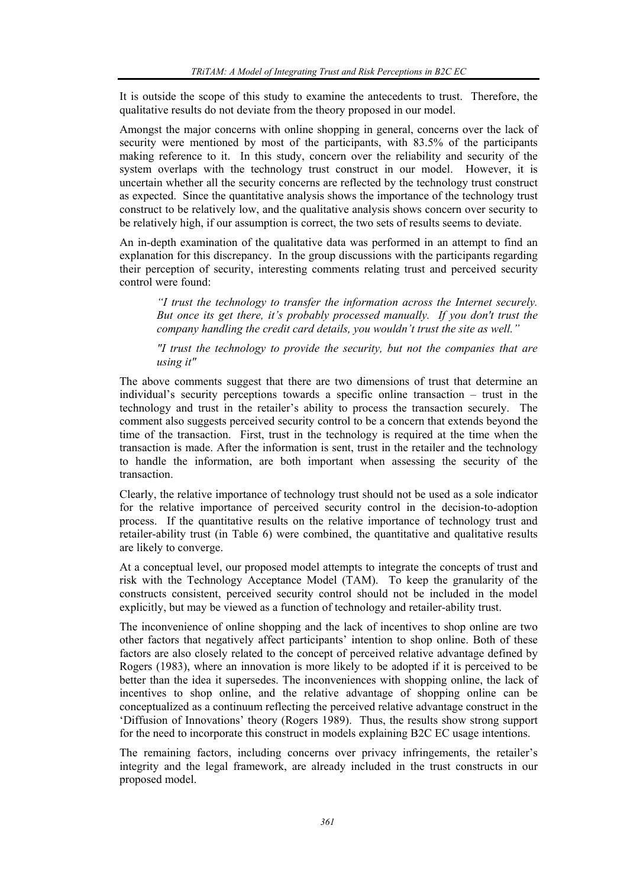It is outside the scope of this study to examine the antecedents to trust. Therefore, the qualitative results do not deviate from the theory proposed in our model.

Amongst the major concerns with online shopping in general, concerns over the lack of security were mentioned by most of the participants, with 83.5% of the participants making reference to it. In this study, concern over the reliability and security of the system overlaps with the technology trust construct in our model. However, it is uncertain whether all the security concerns are reflected by the technology trust construct as expected. Since the quantitative analysis shows the importance of the technology trust construct to be relatively low, and the qualitative analysis shows concern over security to be relatively high, if our assumption is correct, the two sets of results seems to deviate.

An in-depth examination of the qualitative data was performed in an attempt to find an explanation for this discrepancy. In the group discussions with the participants regarding their perception of security, interesting comments relating trust and perceived security control were found:

*"I trust the technology to transfer the information across the Internet securely. But once its get there, it's probably processed manually. If you don't trust the company handling the credit card details, you wouldn't trust the site as well."* 

*"I trust the technology to provide the security, but not the companies that are using it"*

The above comments suggest that there are two dimensions of trust that determine an individual's security perceptions towards a specific online transaction – trust in the technology and trust in the retailer's ability to process the transaction securely. The comment also suggests perceived security control to be a concern that extends beyond the time of the transaction. First, trust in the technology is required at the time when the transaction is made. After the information is sent, trust in the retailer and the technology to handle the information, are both important when assessing the security of the transaction.

Clearly, the relative importance of technology trust should not be used as a sole indicator for the relative importance of perceived security control in the decision-to-adoption process. If the quantitative results on the relative importance of technology trust and retailer-ability trust (in Table 6) were combined, the quantitative and qualitative results are likely to converge.

At a conceptual level, our proposed model attempts to integrate the concepts of trust and risk with the Technology Acceptance Model (TAM). To keep the granularity of the constructs consistent, perceived security control should not be included in the model explicitly, but may be viewed as a function of technology and retailer-ability trust.

The inconvenience of online shopping and the lack of incentives to shop online are two other factors that negatively affect participants' intention to shop online. Both of these factors are also closely related to the concept of perceived relative advantage defined by Rogers (1983), where an innovation is more likely to be adopted if it is perceived to be better than the idea it supersedes. The inconveniences with shopping online, the lack of incentives to shop online, and the relative advantage of shopping online can be conceptualized as a continuum reflecting the perceived relative advantage construct in the 'Diffusion of Innovations' theory (Rogers 1989). Thus, the results show strong support for the need to incorporate this construct in models explaining B2C EC usage intentions.

The remaining factors, including concerns over privacy infringements, the retailer's integrity and the legal framework, are already included in the trust constructs in our proposed model.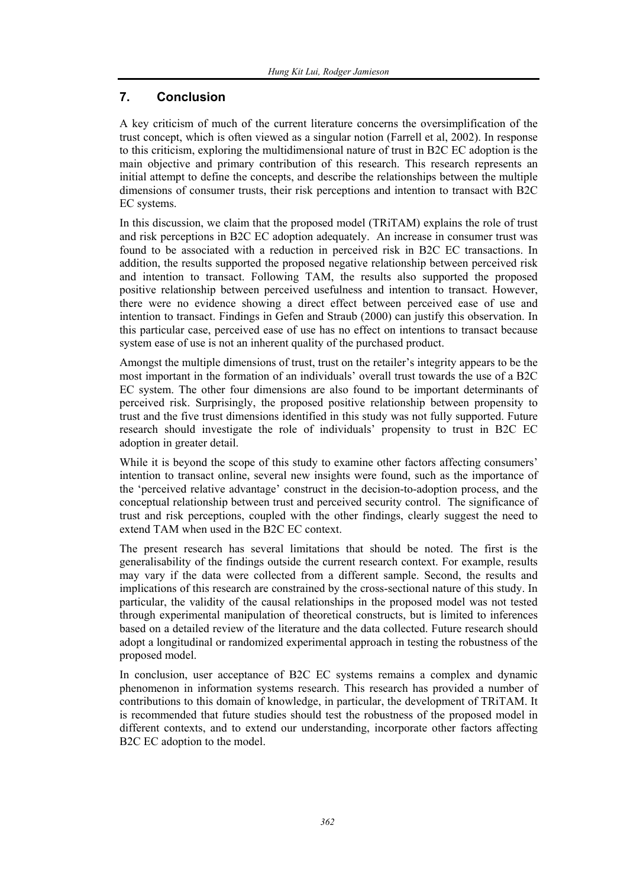# **7. Conclusion**

A key criticism of much of the current literature concerns the oversimplification of the trust concept, which is often viewed as a singular notion (Farrell et al, 2002). In response to this criticism, exploring the multidimensional nature of trust in B2C EC adoption is the main objective and primary contribution of this research. This research represents an initial attempt to define the concepts, and describe the relationships between the multiple dimensions of consumer trusts, their risk perceptions and intention to transact with B2C EC systems.

In this discussion, we claim that the proposed model (TRiTAM) explains the role of trust and risk perceptions in B2C EC adoption adequately. An increase in consumer trust was found to be associated with a reduction in perceived risk in B2C EC transactions. In addition, the results supported the proposed negative relationship between perceived risk and intention to transact. Following TAM, the results also supported the proposed positive relationship between perceived usefulness and intention to transact. However, there were no evidence showing a direct effect between perceived ease of use and intention to transact. Findings in Gefen and Straub (2000) can justify this observation. In this particular case, perceived ease of use has no effect on intentions to transact because system ease of use is not an inherent quality of the purchased product.

Amongst the multiple dimensions of trust, trust on the retailer's integrity appears to be the most important in the formation of an individuals' overall trust towards the use of a B2C EC system. The other four dimensions are also found to be important determinants of perceived risk. Surprisingly, the proposed positive relationship between propensity to trust and the five trust dimensions identified in this study was not fully supported. Future research should investigate the role of individuals' propensity to trust in B2C EC adoption in greater detail.

While it is beyond the scope of this study to examine other factors affecting consumers' intention to transact online, several new insights were found, such as the importance of the 'perceived relative advantage' construct in the decision-to-adoption process, and the conceptual relationship between trust and perceived security control. The significance of trust and risk perceptions, coupled with the other findings, clearly suggest the need to extend TAM when used in the B2C EC context.

The present research has several limitations that should be noted. The first is the generalisability of the findings outside the current research context. For example, results may vary if the data were collected from a different sample. Second, the results and implications of this research are constrained by the cross-sectional nature of this study. In particular, the validity of the causal relationships in the proposed model was not tested through experimental manipulation of theoretical constructs, but is limited to inferences based on a detailed review of the literature and the data collected. Future research should adopt a longitudinal or randomized experimental approach in testing the robustness of the proposed model.

In conclusion, user acceptance of B2C EC systems remains a complex and dynamic phenomenon in information systems research. This research has provided a number of contributions to this domain of knowledge, in particular, the development of TRiTAM. It is recommended that future studies should test the robustness of the proposed model in different contexts, and to extend our understanding, incorporate other factors affecting B2C EC adoption to the model.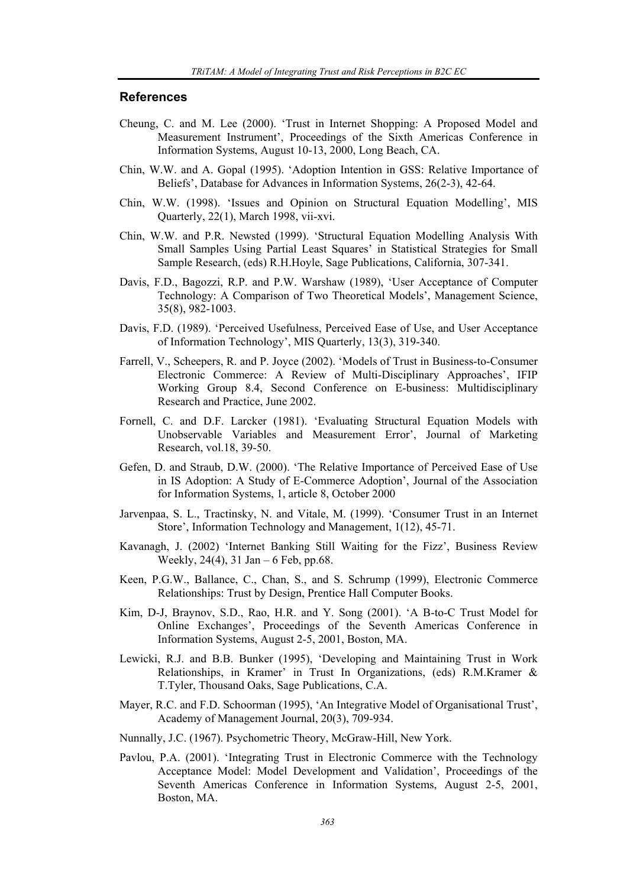#### **References**

- Cheung, C. and M. Lee (2000). 'Trust in Internet Shopping: A Proposed Model and Measurement Instrument', Proceedings of the Sixth Americas Conference in Information Systems, August 10-13, 2000, Long Beach, CA.
- Chin, W.W. and A. Gopal (1995). 'Adoption Intention in GSS: Relative Importance of Beliefs', Database for Advances in Information Systems, 26(2-3), 42-64.
- Chin, W.W. (1998). 'Issues and Opinion on Structural Equation Modelling', MIS Quarterly, 22(1), March 1998, vii-xvi.
- Chin, W.W. and P.R. Newsted (1999). 'Structural Equation Modelling Analysis With Small Samples Using Partial Least Squares' in Statistical Strategies for Small Sample Research, (eds) R.H.Hoyle, Sage Publications, California, 307-341.
- Davis, F.D., Bagozzi, R.P. and P.W. Warshaw (1989), 'User Acceptance of Computer Technology: A Comparison of Two Theoretical Models', Management Science, 35(8), 982-1003.
- Davis, F.D. (1989). 'Perceived Usefulness, Perceived Ease of Use, and User Acceptance of Information Technology', MIS Quarterly, 13(3), 319-340.
- Farrell, V., Scheepers, R. and P. Joyce (2002). 'Models of Trust in Business-to-Consumer Electronic Commerce: A Review of Multi-Disciplinary Approaches', IFIP Working Group 8.4, Second Conference on E-business: Multidisciplinary Research and Practice, June 2002.
- Fornell, C. and D.F. Larcker (1981). 'Evaluating Structural Equation Models with Unobservable Variables and Measurement Error', Journal of Marketing Research, vol.18, 39-50.
- Gefen, D. and Straub, D.W. (2000). 'The Relative Importance of Perceived Ease of Use in IS Adoption: A Study of E-Commerce Adoption', Journal of the Association for Information Systems, 1, article 8, October 2000
- Jarvenpaa, S. L., Tractinsky, N. and Vitale, M. (1999). 'Consumer Trust in an Internet Store', Information Technology and Management, 1(12), 45-71.
- Kavanagh, J. (2002) 'Internet Banking Still Waiting for the Fizz', Business Review Weekly, 24(4), 31 Jan – 6 Feb, pp.68.
- Keen, P.G.W., Ballance, C., Chan, S., and S. Schrump (1999), Electronic Commerce Relationships: Trust by Design, Prentice Hall Computer Books.
- Kim, D-J, Braynov, S.D., Rao, H.R. and Y. Song (2001). 'A B-to-C Trust Model for Online Exchanges', Proceedings of the Seventh Americas Conference in Information Systems, August 2-5, 2001, Boston, MA.
- Lewicki, R.J. and B.B. Bunker (1995), 'Developing and Maintaining Trust in Work Relationships, in Kramer' in Trust In Organizations, (eds) R.M.Kramer & T.Tyler, Thousand Oaks, Sage Publications, C.A.
- Mayer, R.C. and F.D. Schoorman (1995), 'An Integrative Model of Organisational Trust', Academy of Management Journal, 20(3), 709-934.
- Nunnally, J.C. (1967). Psychometric Theory, McGraw-Hill, New York.
- Pavlou, P.A. (2001). 'Integrating Trust in Electronic Commerce with the Technology Acceptance Model: Model Development and Validation', Proceedings of the Seventh Americas Conference in Information Systems, August 2-5, 2001, Boston, MA.